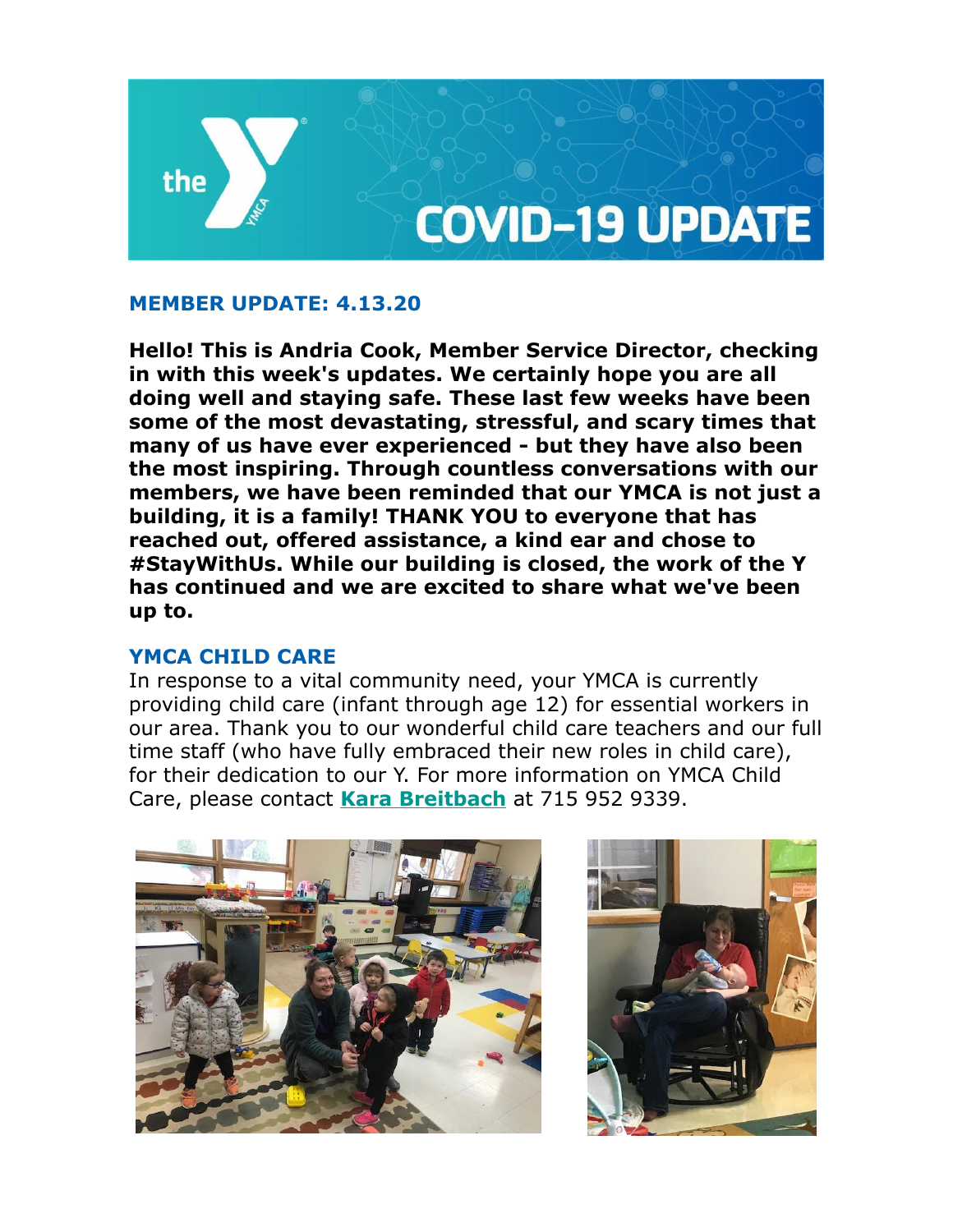

### **MEMBER UPDATE: 4.13.20**

**Hello! This is Andria Cook, Member Service Director, checking in with this week's updates. We certainly hope you are all doing well and staying safe. These last few weeks have been some of the most devastating, stressful, and scary times that many of us have ever experienced - but they have also been the most inspiring. Through countless conversations with our members, we have been reminded that our YMCA is not just a building, it is a family! THANK YOU to everyone that has reached out, offered assistance, a kind ear and chose to #StayWithUs. While our building is closed, the work of the Y has continued and we are excited to share what we've been up to.** 

### **YMCA CHILD CARE**

In response to a vital community need, your YMCA is currently providing child care (infant through age 12) for essential workers in our area. Thank you to our wonderful child care teachers and our full time staff (who have fully embraced their new roles in child care), for their dedication to our Y. For more information on YMCA Child Care, please contact **[Kara Breitbach](mailto:kbreitbach@spymca.org)** at 715 952 9339.



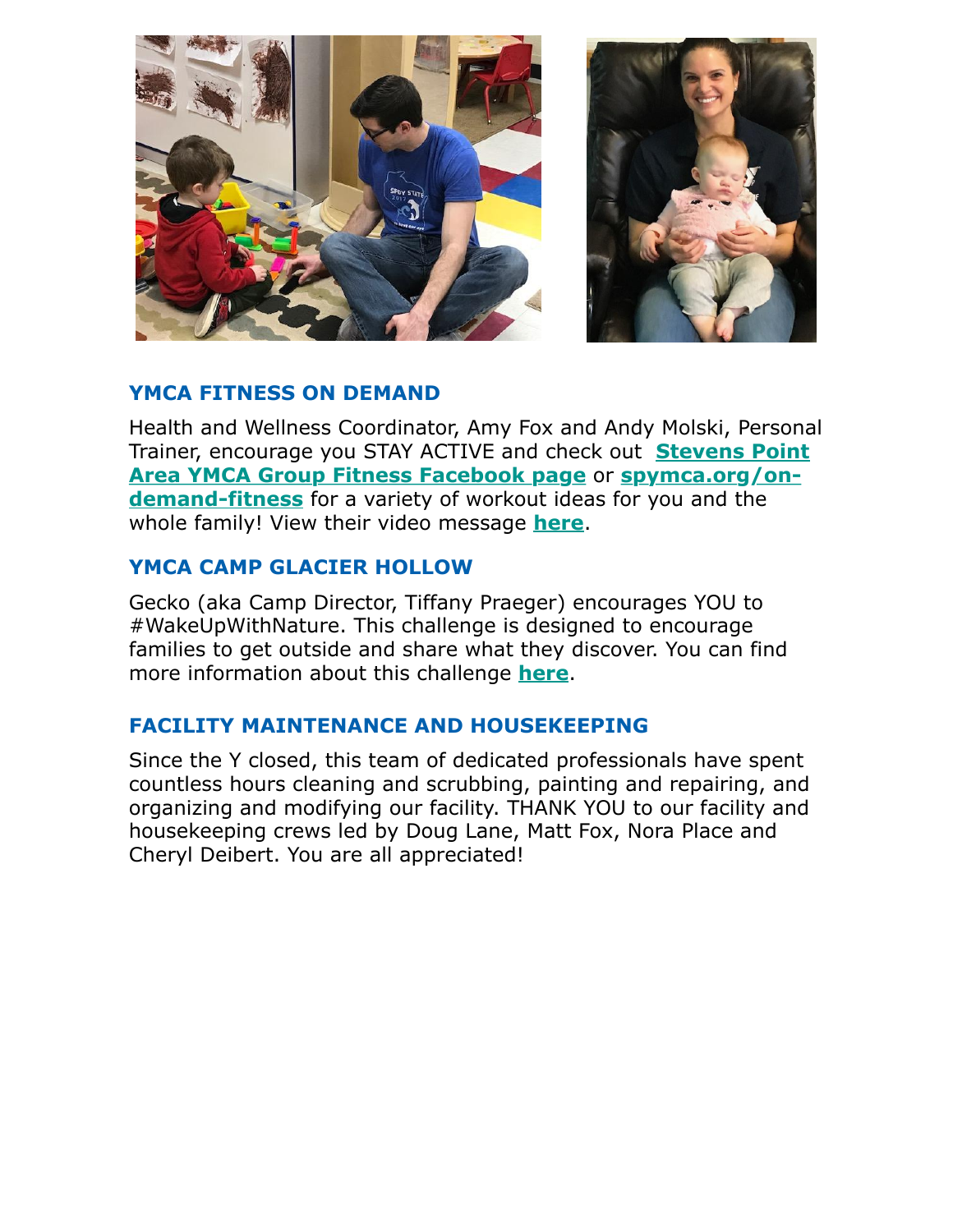



## **YMCA FITNESS ON DEMAND**

Health and Wellness Coordinator, Amy Fox and Andy Molski, Personal [Trainer, encourage you STAY ACTIVE and check out](https://www.facebook.com/groups/1477830565598787/) **Stevens Point Area YMCA Group Fitness Facebook page** or **spymca.org/ondemand-fitness** [for a variety of workout ideas for you and the](http://www.spymca.org/on-demand-fitness) whole family! View their video message **[here](https://www.spymca.org/wp-content/uploads/2020/04/AndyAmy1_2.mp4)**.

### **YMCA CAMP GLACIER HOLLOW**

Gecko (aka Camp Director, Tiffany Praeger) encourages YOU to #WakeUpWithNature. This challenge is designed to encourage families to get outside and share what they discover. You can find more information about this challenge **[here](https://www.facebook.com/YCampGlacierHollow/videos/249925353070622/)**.

# **FACILITY MAINTENANCE AND HOUSEKEEPING**

Since the Y closed, this team of dedicated professionals have spent countless hours cleaning and scrubbing, painting and repairing, and organizing and modifying our facility. THANK YOU to our facility and housekeeping crews led by Doug Lane, Matt Fox, Nora Place and Cheryl Deibert. You are all appreciated!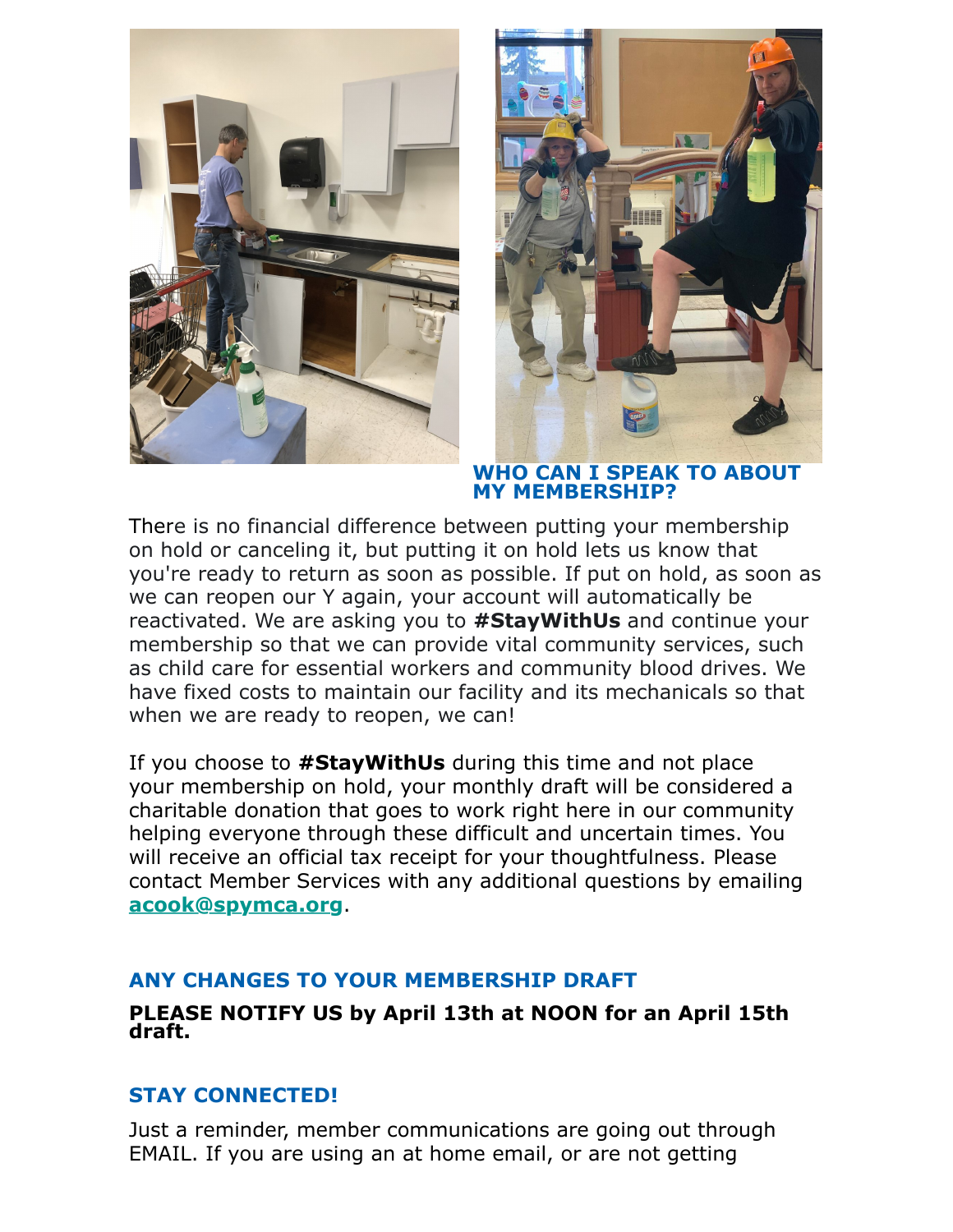



#### **WHO CAN I SPEAK TO ABOUT MY MEMBERSHIP?**

There is no financial difference between putting your membership on hold or canceling it, but putting it on hold lets us know that you're ready to return as soon as possible. If put on hold, as soon as we can reopen our Y again, your account will automatically be reactivated. We are asking you to **#StayWithUs** and continue your membership so that we can provide vital community services, such as child care for essential workers and community blood drives. We have fixed costs to maintain our facility and its mechanicals so that when we are ready to reopen, we can!

If you choose to **#StayWithUs** during this time and not place your membership on hold, your monthly draft will be considered a charitable donation that goes to work right here in our community helping everyone through these difficult and uncertain times. You will receive an official tax receipt for your thoughtfulness. Please contact Member Services with any additional questions by emailing **[acook@spymca.org](mailto:acook@spymca.org)**.

### **ANY CHANGES TO YOUR MEMBERSHIP DRAFT**

### **PLEASE NOTIFY US by April 13th at NOON for an April 15th draft.**

# **STAY CONNECTED!**

Just a reminder, member communications are going out through EMAIL. If you are using an at home email, or are not getting